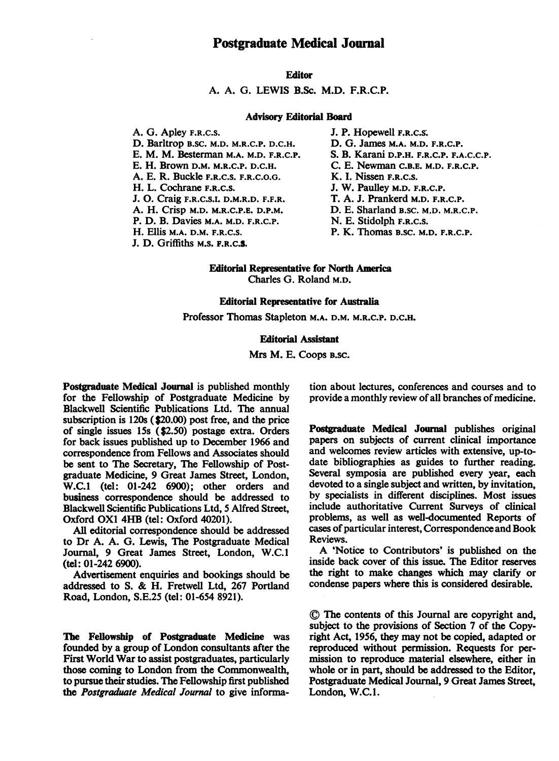#### **Editor**

A. A. G. LEWIS B.Sc. M.D. F.R.C.P.

#### Advisory Editorial Board

A. G. Apley F.R.C.S. D. Barltrop B.SC. M.D. M.R.C.P. D.C.H. E. M. M. Besterman M.A. M.D. F.R.C.P. E. H. Brown D.M. M.R.C.P. D.C.H. A. E. R. Buckle F.R.C.S. F.R.C.O.G. H. L. Cochrane F.R.C.S. J. 0. Craig F.R.C.S.I. D.M.R.D. F.F.R. A. H. Crisp M.D. M.R.C.P.E. D.P.M. P. D. B. Davies M.A. M.D. F.R.C.P. H. Ellis M.A. D.M. F.R.C.S.

J. D. Griffiths M.S. F.R.C.S.

- J. P. Hopewell F.R.C.S;
- D. G. James M.A. M.D. F.R.C.P.
- S. B. Karani D.P.H. F.R.C.P. F.A.C.C.P.
- C. E. Newman C.B.E. M.D. F.R.C.P.
- K. I. Nissen F.R.C.S.
- J. W. Paulley M.D. F.R.C.P.
- T. A. J. Prankerd M.D. F.R.C.P.
- D. E. Sharland B.SC. M.D. M.R.C.P.
- N. E. Stidolph F.R.C.S.
- P. K. Thomas B.SC. M.D. F.R.C.P.

Editorial Representative for North America Charles G. Roland M.D.

#### Editorial Representative for Australia

Professor Thomas Stapleton M.A. D.M. M.R.C.P. D.C.H.

#### **Editorial Assistant**

Mrs M. E. Coops B.SC.

Postgraduate Medical Journal is published monthly for the Fellowship of Postgraduate Medicine by Blackwell Scientific Publications Ltd. The annual subscription is 120s (\$20.00) post free, and the price of single issues 15s (\$2.50) postage extra. Orders for back issues published up to December 1966 and correspondence from Fellows and Associates should be sent to The Secretary, The Fellowship of Postgraduate Medicine, 9 Great James Street, London, W.C.1 (tel: 01-242 6900); other orders and business correspondence should be addressed to Blackwell Scientific Publications Ltd, 5 Alfred Street, Oxford OXI 4HB (tel: Oxford 40201).

All editorial correspondence should be addressed to Dr A. A. G. Lewis, The Postgraduate Medical Journal, 9 Great James Street, London, W.C.1 (tel: 01-242 6900).

Advertisement enquiries and bookings should be addressed to S. & H. Fretwell Ltd, <sup>267</sup> Portland Road, London, S.E.25 (tel: 01-654 8921).

The Fellowship of Postgraduate Medicine was founded by a group of London consultants after the First World War to assist postgraduates, particularly those coming to London from the Commonwealth, to pursue their studies. The Fellowship first published the Postgraduate Medical Journal to give information about lectures, conferences and courses and to provide a monthly review of all branches of medicine.

Postgraduate Medical Journal publishes original papers on subjects of current clinical importance and welcomes review articles with extensive, up-todate bibliographies as guides to further reading. Several symposia are published every year, each devoted to a single subject and written, by invitation, by specialists in different disciplines. Most issues include authoritative Current Surveys of clinical problems, as well as well-documented Reports of cases of particular interest, Correspondence and Book Reviews.

A 'Notice to Contributors' is published on the inside back cover of this issue. The Editor reserves the right to make changes which may clarify or condense papers where this is considered desirable.

© The contents of this Journal are copyright and, subject to the provisions of Section 7 of the Copyright Act, 1956, they may not be copied, adapted or reproduced without permission. Requests for permission to reproduce material elsewhere, either in whole or in part, should be addressed to the Editor, Postgraduate Medical Journal, 9 Great James Street, London, W.C.l.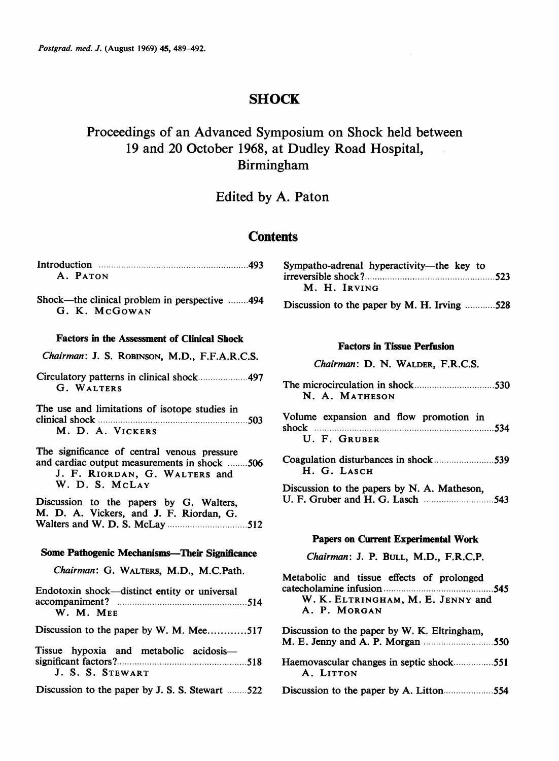# **SHOCK**

# Proceedings of an Advanced Symposium on Shock held between 19 and 20 October 1968, at Dudley Road Hospital, Birmingham

# Edited by A. Paton

# **Contents**

| A. PATON                                                                                                                     | Sympatho-adrenal hyperactivity—the key to<br>M. H. IRVING |  |
|------------------------------------------------------------------------------------------------------------------------------|-----------------------------------------------------------|--|
| Shock---the clinical problem in perspective 494<br>G. K. McGowan                                                             | Discussion to the paper by M. H. Irving 528               |  |
| <b>Factors in the Assessment of Clinical Shock</b><br>Chairman: J. S. ROBINSON, M.D., F.F.A.R.C.S.                           | <b>Factors in Tissue Perfusion</b>                        |  |
|                                                                                                                              | Chairman: D. N. WALDER, F.R.C.S.                          |  |
| G. WALTERS                                                                                                                   | N. A. MATHESON                                            |  |
| The use and limitations of isotope studies in                                                                                | Volume expansion and flow promotion in                    |  |
| M. D. A. VICKERS                                                                                                             | U. F. GRUBER                                              |  |
| The significance of central venous pressure<br>and cardiac output measurements in shock 506<br>J. F. RIORDAN, G. WALTERS and | H. G. LASCH                                               |  |
| W. D. S. McLAY                                                                                                               | Discussion to the papers by N. A. Matheson,               |  |
| Discussion to the papers by G. Walters,<br>M. D. A. Vickers, and J. F. Riordan, G.                                           |                                                           |  |
|                                                                                                                              | Papers on Current Experimental Work                       |  |
| <b>Some Pathogenic Mechanisms—Their Significance</b>                                                                         | Chairman: J. P. BULL, M.D., F.R.C.P.                      |  |
| Chairman: G. WALTERS, M.D., M.C.Path.                                                                                        | Metabolic and tissue effects of prolonged                 |  |
| Endotoxin shock-distinct entity or universal<br>W. M. MEE                                                                    | W. K. ELTRINGHAM, M. E. JENNY and<br>A. P. MORGAN         |  |
| Discussion to the paper by W. M. Mee517                                                                                      | Discussion to the paper by W. K. Eltringham,              |  |
| Tissue hypoxia and metabolic acidosis-<br>J. S. S. STEWART                                                                   | Haemovascular changes in septic shock551<br>A. LITTON     |  |
| Discussion to the paper by J. S. S. Stewart 522                                                                              |                                                           |  |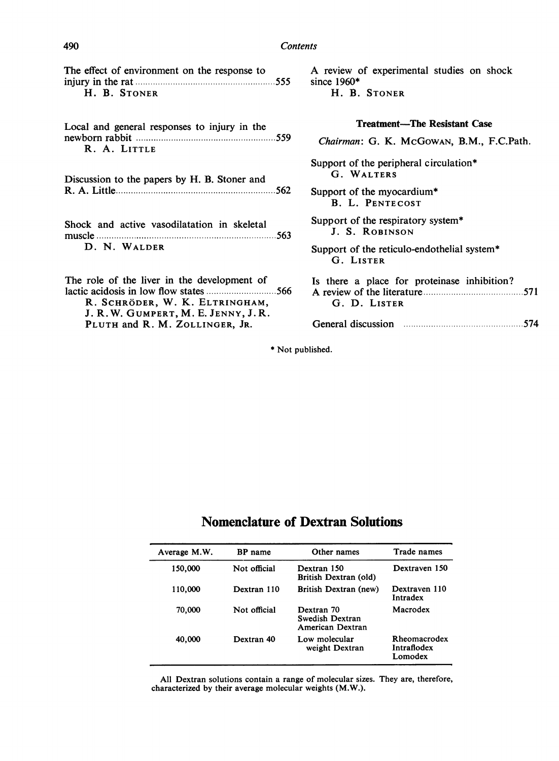#### 490 Contents

| The effect of environment on the response to |  |
|----------------------------------------------|--|
|                                              |  |
| H. B. STONER                                 |  |

Local and general responses to injury in the newborn rabbit ................................................ 559 R. A. LITTLE

Discussion to the papers by H. B. Stoner and R. A. Little................................................ <sup>562</sup>

Shock and active vasodilatation in skeleta muscle ................................................ <sup>563</sup> D. N. WALDER

The role of the liver in the development o lactic acidosis in low flow states............................ 566 R. SCHRÖDER, W. K. ELTRINGHAM J. R. W. GUMPERT, M. E. JENNY, J. F. PLUTH and R. M. ZOLLINGER, JR.

A review of experimental studies on shock since 1960\* H. B. STONER

#### Treatment-The Resistant Case

| . 559                   | Chairman: G. K. McGowan, B.M., F.C.Path.                         |
|-------------------------|------------------------------------------------------------------|
| d                       | Support of the peripheral circulation*<br>G. WALTERS             |
| 562                     | Support of the myocardium*<br><b>B. L. PENTECOST</b>             |
| ւ1<br>. 563             | Support of the respiratory system <sup>*</sup><br>J. S. ROBINSON |
|                         | Support of the reticulo-endothelial system*<br>G. LISTER         |
| ١f<br>……566<br>1,<br>₹. | Is there a place for proteinase inhibition?<br>G. D. LISTER      |
|                         | General discussion manufactured 574                              |

\* Not published.

## Nomenclature of Dextran Solutions

| Average M.W. | <b>BP</b> name | Other names                                       | Trade names                            |
|--------------|----------------|---------------------------------------------------|----------------------------------------|
| 150,000      | Not official   | Dextran 150<br>British Dextran (old)              | Dextraven 150                          |
| 110,000      | Dextran 110    | British Dextran (new)                             | Dextraven 110<br>Intradex              |
| 70,000       | Not official   | Dextran 70<br>Swedish Dextran<br>American Dextran | Macrodex                               |
| 40,000       | Dextran 40     | Low molecular<br>weight Dextran                   | Rheomacrodex<br>Intraflodex<br>Lomodex |

All Dextran solutions contain a range of molecular sizes. They are, therefore, characterized by their average molecular weights (M.W.).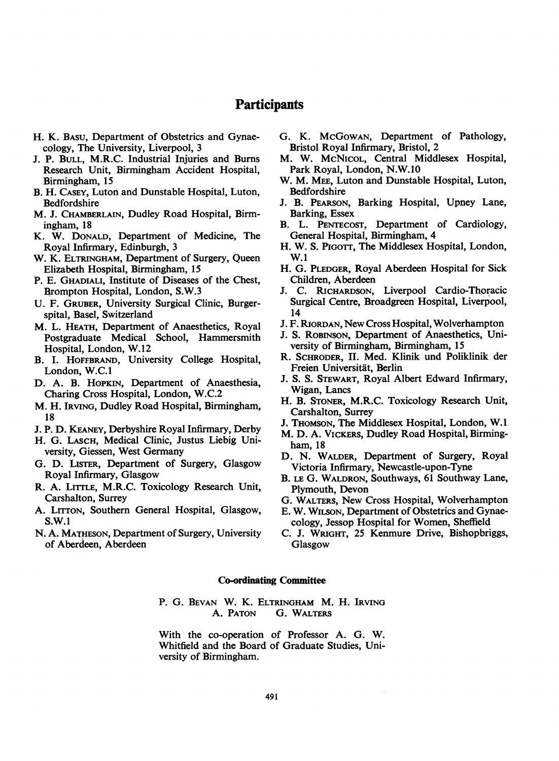## Participants

- H. K. BASU, Department of Obstetrics and Gynaecology, The University, Liverpool, 3
- J. P. BULL, M.R.C. Industrial Injuries and Burns Research Unit, Birmingham Accident Hospital, Birmingham, 15
- B. H. CASEY, Luton and Dunstable Hospital, Luton, Bedfordshire
- M. J. CHAMBERLAIN, Dudley Road Hospital, Birmingham, 18
- K. W. DONALD, Department of Medicine, The Royal Infirmary, Edinburgh, 3
- W. K. ELTRINGHAM, Department of Surgery, Queen Elizabeth Hospital, Birmingham, 15
- P. E. GHADIALI, Institute of Diseases of the Chest, Brompton Hospital, London, S.W.3
- U. F. GRUBER, University Surgical Clinic, Burgerspital, Basel, Switzerland
- M. L. HEATH, Department of Anaesthetics, Royal Postgraduate Medical School, Hammersmith Hospital, London, W.12
- B. I. HOFFBRAND, University College Hospital, London, W.C.1
- D. A. B. HOPKIN, Department of Anaesthesia, Charing Cross Hospital, London, W.C.2
- M. H. IRVING, Dudley Road Hospital, Birmingham, 18
- J. P. D. KEANEY, Derbyshire Royal Infirmary, Derby
- H. G. LASCH, Medical Clinic, Justus Liebig University, Giessen, West Germany
- G. D. LISTER, Department of Surgery, Glasgow Royal Infirmary, Glasgow
- R. A. LITTLE, M.R.C. Toxicology Research Unit, Carshalton, Surrey
- A. LITTON, Southern General Hospital, Glasgow, S.W.1
- N. A. MATHESON, Department of Surgery, University of Aberdeen, Aberdeen
- G. K. McGOWAN, Department of Pathology, Bristol Royal Infirmary, Bristol, 2
- M. W. McNIcoL, Central Middlesex Hospital, Park Royal, London, N.W.10
- W. M. MEE, Luton and Dunstable Hospital, Luton, Bedfordshire
- J. B. PEARSON, Barking Hospital, Upney Lane, Barking, Essex
- B. L. PENTECOST, Department of Cardiology, General Hospital, Birmingham, 4
- H. W. S. PIGOTT, The Middlesex Hospital, London, W.1
- H. G. PLEDGER, Royal Aberdeen Hospital for Sick Children, Aberdeen
- J. C. RICHARDSON, Liverpool Cardio-Thoracic Surgical Centre, Broadgreen Hospital, Liverpool, 14
- J. F. RIORDAN, New Cross Hospital, Wolverhampton
- J. S. ROBINSON, Department of Anaesthetics, University of Birmingham, Birmingham, 15
- R. SCHRODER, II. Med. Klinik und Poliklinik der Freien Universitait, Berlin
- J. S. S. STEWART, Royal Albert Edward Infirmary, Wigan, Lancs
- H. B. STONER, M.R.C. Toxicology Research Unit, Carshalton, Surrey
- J. THOMSON, The Middlesex Hospital, London, W.1
- M. D. A. VICKERS, Dudley Road Hospital, Birmingham, 18
- D. N. WALDER, Department of Surgery, Royal Victoria Infirmary, Newcastle-upon-Tyne
- B. LE G. WALDRON, Southways, 61 Southway Lane, Plymouth, Devon
- G. WALTERS, New Cross Hospital, Wolverhampton
- E. W. WILSON, Department of Obstetrics and Gynaecology, Jessop Hospital for Women, Sheffield
- C. J. WRIGHT, 25 Kenmure Drive, Bishopbriggs, Glasgow

#### Co-ordinating Committee

P. G. BEVAN W. K. ELTRINGHAM M. H. IRVING<br>A. PATON G. WALTERS G. WALTERS

With the co-operation of Professor A. G. W. Whitfield and the Board of Graduate Studies, University of Birmingham.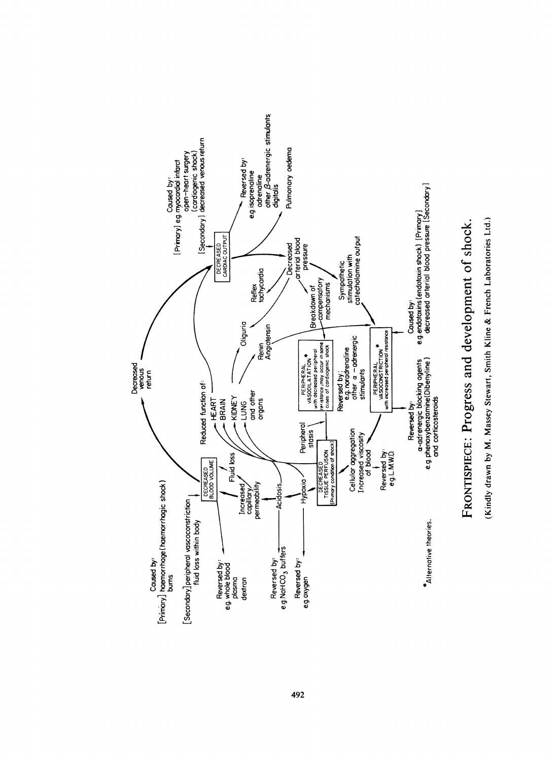

# Shocl<br>ories Lt **ي**ــر a)  $s$  $\frac{6}{10}$ U . LL. .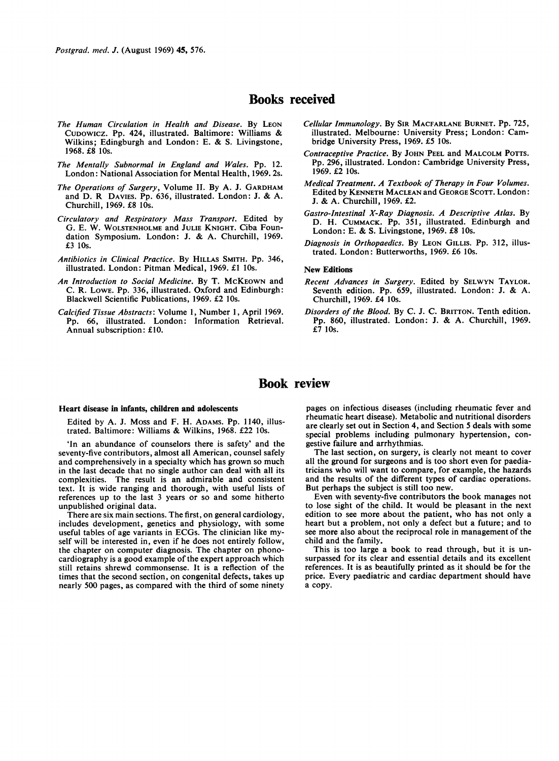Postgrad. med. J. (August 1969) 45, 576.

### Books received

- The Human Circulation in Health and Disease. By LEON CUDOWICZ. Pp. 424, illustrated. Baltimore: Williams & Wilkins; Edingburgh and London: E. & S. Livingstone, 1968. £8 10s.
- The Mentally Subnormal in England and Wales. Pp. 12. London: National Association for Mental Health, 1969. 2s.
- The Operations of Surgery, Volume II. By A. J. GARDHAM and D. R DAVIES. Pp. 636, illustrated. London: J. & A. Churchill, 1969. £8 10s.
- Circulatory and Respiratory Mass Transport. Edited by G. E. W. WOLSTENHOLME and JULIE KNIGHT. Ciba Foundation Symposium. London: J. & A. Churchill, 1969. £3 10s.
- Antibiotics in Clinical Practice. By HILLAS SMITH. Pp. 346, illustrated. London: Pitman Medical, 1969. £1 10s.
- An Introduction to Social Medicine. By T. MCKEOWN and C. R. LOWE. Pp. 336, illustrated. Oxford and Edinburgh: Blackwell Scientific Publications, 1969. £2 10s.
- Calcified Tissue Abstracts: Volume 1, Number 1, April 1969. Pp. 66, illustrated. London: Information Retrieval. Annual subscription: £10.
- Cellular Immunology. By SIR MACFARLANE BURNET. Pp. 725, illustrated. Melbourne: University Press; London: Cambridge University Press, 1969. £5 10s.
- Contraceptive Practice. By JOHN PEEL and MALCOLM POTTS. Pp. 296, illustrated. London: Cambridge University Press, 1969. £2 10s.
- Medical Treatment. A Textbook of Therapy in Four Volumes. Edited by KENNETH MACLEAN and GEORGE SCOTT. London: J. & A. Churchill, 1969. £2.
- Gastro-Intestinal X-Ray Diagnosis. A Descriptive Atlas. By D. H. CUMMACK. Pp. 351, illustrated. Edinburgh and London: E. & S. Livingstone, 1969. £8 10s.
- Diagnosis in Orthopaedics. By LEON GILLIS. Pp. 312, illustrated. London: Butterworths, 1969. £6 10s.

#### New Editions

- Recent Advances in Surgery. Edited by SELWYN TAYLOR. Seventh edition. Pp. 659, illustrated. London: J. & A. Churchill, 1969. £4 10s.
- Disorders of the Blood. By C. J. C. BRITTON. Tenth edition. Pp. 860, illustrated. London: J. & A. Churchill, 1969. £7 1Os.

## Book review

#### Heart disease in infants, children and adolescents

Edited by A. J. Moss and F. H. ADAMS. Pp. 1140, illustrated. Baltimore: Williams & Wilkins, 1968. £22 lOs.

'In an abundance of counselors there is safety' and the seventy-five contributors, almost all American, counsel safely and comprehensively in a specialty which has grown so much in the last decade that no single author can deal with all its complexities. The result is an admirable and consistent text. It is wide ranging and thorough, with useful lists of references up to the last <sup>3</sup> years or so and some hitherto unpublished original data.

There are six main sections. The first, on general cardiology, includes development, genetics and physiology, with some useful tables of age variants in ECGs. The clinician like myself will be interested in, even if he does not entirely follow, the chapter on computer diagnosis. The chapter on phonocardiography is a good example of the expert approach which still retains shrewd commonsense. It is a reflection of the times that the second section, on congenital defects, takes up nearly 500 pages, as compared with the third of some ninety pages on infectious diseases (including rheumatic fever and rheumatic heart disease). Metabolic and nutritional disorders are clearly set out in Section 4, and Section 5 deals with some special problems including pulmonary hypertension, congestive failure and arrhythmias.

The last section, on surgery, is clearly not meant to cover all the ground for surgeons and is too short even for paediatricians who will want to compare, for example, the hazards and the results of the different types of cardiac operations. But perhaps the subject is still too new.

Even with seventy-five contributors the book manages not to lose sight of the child. It would be pleasant in the next edition to see more about the patient, who has not only a heart but a problem, not only a defect but a future; and to see more also about the reciprocal role in management of the child and the family.

This is too large a book to read through, but it is unsurpassed for its clear and essential details and its excellent references. It is as beautifully printed as it should be for the price. Every paediatric and cardiac department should have a copy.